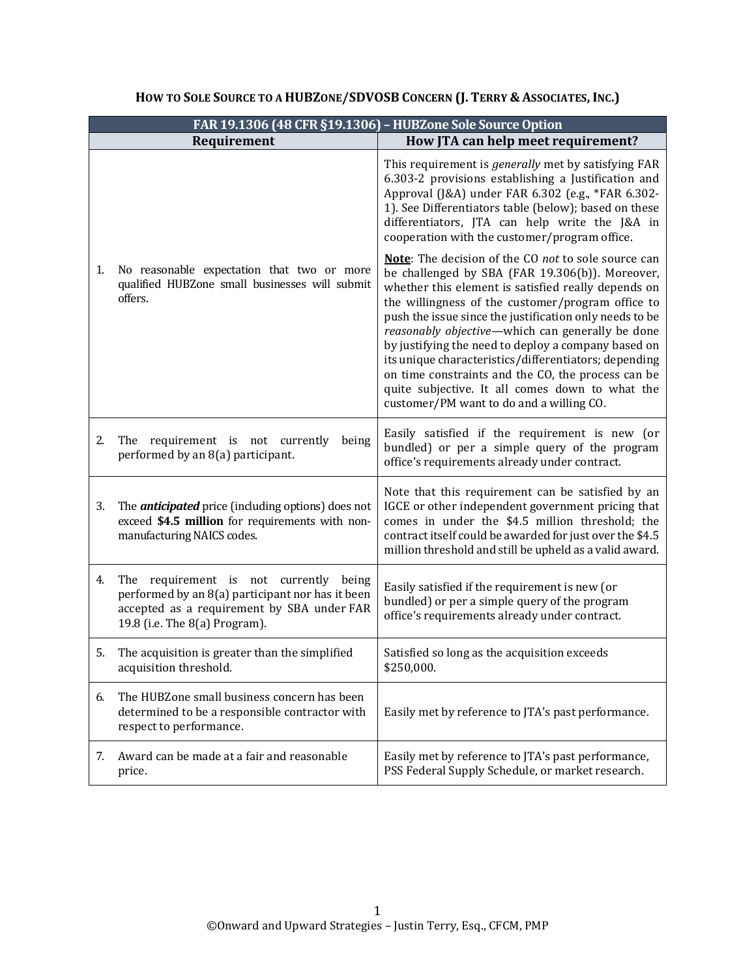|    |                                                                                                                                                                           | FAR 19.1306 (48 CFR §19.1306) - HUBZone Sole Source Option                                                                                                                                                                                                                                                                                                                                                                                                                                                                                                                                             |
|----|---------------------------------------------------------------------------------------------------------------------------------------------------------------------------|--------------------------------------------------------------------------------------------------------------------------------------------------------------------------------------------------------------------------------------------------------------------------------------------------------------------------------------------------------------------------------------------------------------------------------------------------------------------------------------------------------------------------------------------------------------------------------------------------------|
|    | Requirement                                                                                                                                                               | How JTA can help meet requirement?                                                                                                                                                                                                                                                                                                                                                                                                                                                                                                                                                                     |
|    |                                                                                                                                                                           | This requirement is generally met by satisfying FAR<br>6.303-2 provisions establishing a Justification and<br>Approval (J&A) under FAR 6.302 (e.g., *FAR 6.302-<br>1). See Differentiators table (below); based on these<br>differentiators, JTA can help write the J&A in<br>cooperation with the customer/program office.                                                                                                                                                                                                                                                                            |
| 1. | No reasonable expectation that two or more<br>qualified HUBZone small businesses will submit<br>offers.                                                                   | Note: The decision of the CO not to sole source can<br>be challenged by SBA (FAR 19.306(b)). Moreover,<br>whether this element is satisfied really depends on<br>the willingness of the customer/program office to<br>push the issue since the justification only needs to be<br>reasonably objective-which can generally be done<br>by justifying the need to deploy a company based on<br>its unique characteristics/differentiators; depending<br>on time constraints and the CO, the process can be<br>quite subjective. It all comes down to what the<br>customer/PM want to do and a willing CO. |
| 2. | The requirement is not currently<br>being<br>performed by an 8(a) participant.                                                                                            | Easily satisfied if the requirement is new (or<br>bundled) or per a simple query of the program<br>office's requirements already under contract.                                                                                                                                                                                                                                                                                                                                                                                                                                                       |
| 3. | The <i>anticipated</i> price (including options) does not<br>exceed \$4.5 million for requirements with non-<br>manufacturing NAICS codes.                                | Note that this requirement can be satisfied by an<br>IGCE or other independent government pricing that<br>comes in under the \$4.5 million threshold; the<br>contract itself could be awarded for just over the \$4.5<br>million threshold and still be upheld as a valid award.                                                                                                                                                                                                                                                                                                                       |
| 4. | The requirement is not currently being<br>performed by an 8(a) participant nor has it been<br>accepted as a requirement by SBA under FAR<br>19.8 (i.e. The 8(a) Program). | Easily satisfied if the requirement is new (or<br>bundled) or per a simple query of the program<br>office's requirements already under contract.                                                                                                                                                                                                                                                                                                                                                                                                                                                       |
| 5. | The acquisition is greater than the simplified<br>acquisition threshold.                                                                                                  | Satisfied so long as the acquisition exceeds<br>\$250,000.                                                                                                                                                                                                                                                                                                                                                                                                                                                                                                                                             |
| 6. | The HUBZone small business concern has been<br>determined to be a responsible contractor with<br>respect to performance.                                                  | Easily met by reference to JTA's past performance.                                                                                                                                                                                                                                                                                                                                                                                                                                                                                                                                                     |
| 7. | Award can be made at a fair and reasonable<br>price.                                                                                                                      | Easily met by reference to JTA's past performance,<br>PSS Federal Supply Schedule, or market research.                                                                                                                                                                                                                                                                                                                                                                                                                                                                                                 |

# **HOW TO SOLE SOURCE TO A HUBZONE/SDVOSB CONCERN (J. TERRY & ASSOCIATES, INC.)**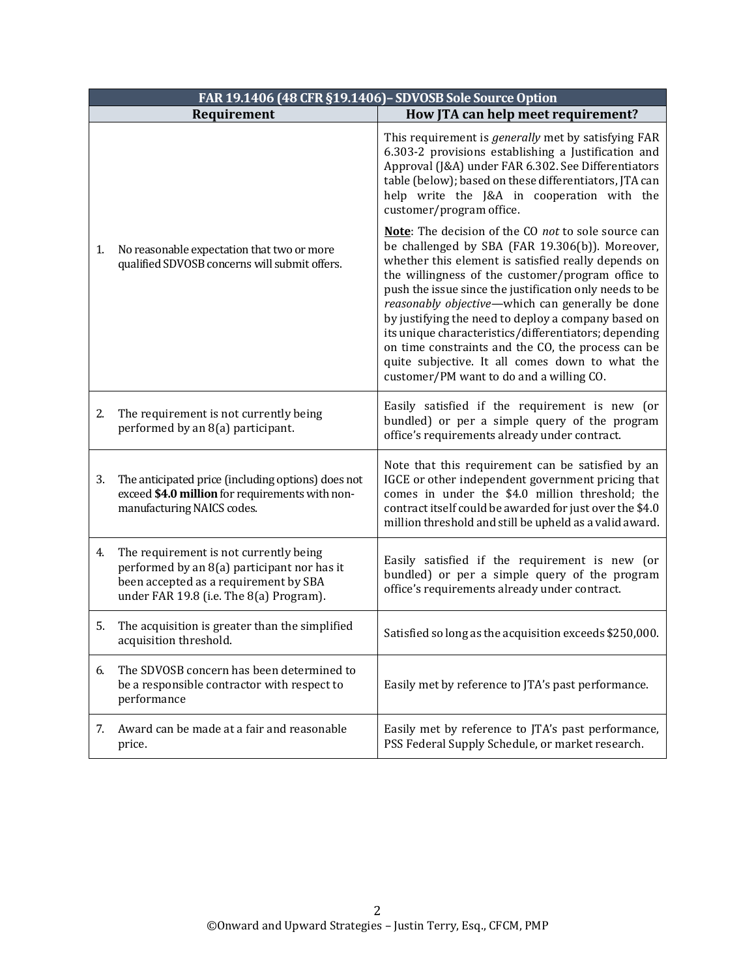| FAR 19.1406 (48 CFR §19.1406) - SDVOSB Sole Source Option |                                                                                                                                                                           |                                                                                                                                                                                                                                                                                                                                                                                                                                                                                                                                                                                                        |  |
|-----------------------------------------------------------|---------------------------------------------------------------------------------------------------------------------------------------------------------------------------|--------------------------------------------------------------------------------------------------------------------------------------------------------------------------------------------------------------------------------------------------------------------------------------------------------------------------------------------------------------------------------------------------------------------------------------------------------------------------------------------------------------------------------------------------------------------------------------------------------|--|
|                                                           | Requirement                                                                                                                                                               | How JTA can help meet requirement?                                                                                                                                                                                                                                                                                                                                                                                                                                                                                                                                                                     |  |
|                                                           |                                                                                                                                                                           | This requirement is <i>generally</i> met by satisfying FAR<br>6.303-2 provisions establishing a Justification and<br>Approval (J&A) under FAR 6.302. See Differentiators<br>table (below); based on these differentiators, JTA can<br>help write the J&A in cooperation with the<br>customer/program office.                                                                                                                                                                                                                                                                                           |  |
| 1.                                                        | No reasonable expectation that two or more<br>qualified SDVOSB concerns will submit offers.                                                                               | Note: The decision of the CO not to sole source can<br>be challenged by SBA (FAR 19.306(b)). Moreover,<br>whether this element is satisfied really depends on<br>the willingness of the customer/program office to<br>push the issue since the justification only needs to be<br>reasonably objective—which can generally be done<br>by justifying the need to deploy a company based on<br>its unique characteristics/differentiators; depending<br>on time constraints and the CO, the process can be<br>quite subjective. It all comes down to what the<br>customer/PM want to do and a willing CO. |  |
| 2.                                                        | The requirement is not currently being<br>performed by an 8(a) participant.                                                                                               | Easily satisfied if the requirement is new (or<br>bundled) or per a simple query of the program<br>office's requirements already under contract.                                                                                                                                                                                                                                                                                                                                                                                                                                                       |  |
| 3.                                                        | The anticipated price (including options) does not<br>exceed \$4.0 million for requirements with non-<br>manufacturing NAICS codes.                                       | Note that this requirement can be satisfied by an<br>IGCE or other independent government pricing that<br>comes in under the \$4.0 million threshold; the<br>contract itself could be awarded for just over the \$4.0<br>million threshold and still be upheld as a valid award.                                                                                                                                                                                                                                                                                                                       |  |
| 4.                                                        | The requirement is not currently being<br>performed by an 8(a) participant nor has it<br>been accepted as a requirement by SBA<br>under FAR 19.8 (i.e. The 8(a) Program). | Easily satisfied if the requirement is new (or<br>bundled) or per a simple query of the program<br>office's requirements already under contract.                                                                                                                                                                                                                                                                                                                                                                                                                                                       |  |
| 5.                                                        | The acquisition is greater than the simplified<br>acquisition threshold.                                                                                                  | Satisfied so long as the acquisition exceeds \$250,000.                                                                                                                                                                                                                                                                                                                                                                                                                                                                                                                                                |  |
| 6.                                                        | The SDVOSB concern has been determined to<br>be a responsible contractor with respect to<br>performance                                                                   | Easily met by reference to JTA's past performance.                                                                                                                                                                                                                                                                                                                                                                                                                                                                                                                                                     |  |
| 7.                                                        | Award can be made at a fair and reasonable<br>price.                                                                                                                      | Easily met by reference to JTA's past performance,<br>PSS Federal Supply Schedule, or market research.                                                                                                                                                                                                                                                                                                                                                                                                                                                                                                 |  |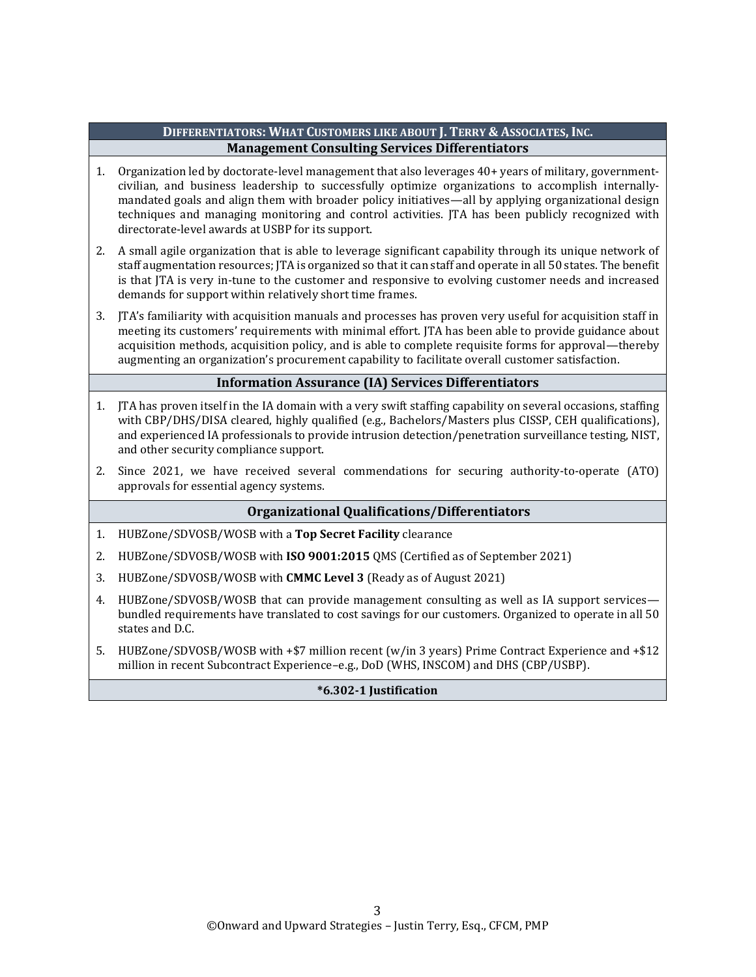### **DIFFERENTIATORS: WHAT CUSTOMERS LIKE ABOUT J. TERRY & ASSOCIATES, INC. Management Consulting Services Differentiators**

- 1. Organization led by doctorate-level management that also leverages 40+ years of military, governmentcivilian, and business leadership to successfully optimize organizations to accomplish internallymandated goals and align them with broader policy initiatives—all by applying organizational design techniques and managing monitoring and control activities. JTA has been publicly recognized with directorate-level awards at USBP for its support.
- 2. A small agile organization that is able to leverage significant capability through its unique network of staff augmentation resources; JTA is organized so that it can staff and operate in all 50 states. The benefit is that JTA is very in-tune to the customer and responsive to evolving customer needs and increased demands for support within relatively short time frames.
- 3. JTA's familiarity with acquisition manuals and processes has proven very useful for acquisition staff in meeting its customers' requirements with minimal effort. JTA has been able to provide guidance about acquisition methods, acquisition policy, and is able to complete requisite forms for approval—thereby augmenting an organization's procurement capability to facilitate overall customer satisfaction.

### **Information Assurance (IA) Services Differentiators**

- 1. JTA has proven itself in the IA domain with a very swift staffing capability on several occasions, staffing with CBP/DHS/DISA cleared, highly qualified (e.g., Bachelors/Masters plus CISSP, CEH qualifications), and experienced IA professionals to provide intrusion detection/penetration surveillance testing, NIST, and other security compliance support.
- 2. Since 2021, we have received several commendations for securing authority-to-operate (ATO) approvals for essential agency systems.

## **Organizational Qualifications/Differentiators**

- 1. HUBZone/SDVOSB/WOSB with a **Top Secret Facility** clearance
- 2. HUBZone/SDVOSB/WOSB with **ISO 9001:2015** QMS (Certified as of September 2021)
- 3. HUBZone/SDVOSB/WOSB with **CMMC Level 3** (Ready as of August 2021)
- 4. HUBZone/SDVOSB/WOSB that can provide management consulting as well as IA support services bundled requirements have translated to cost savings for our customers. Organized to operate in all 50 states and D.C.
- 5. HUBZone/SDVOSB/WOSB with +\$7 million recent (w/in 3 years) Prime Contract Experience and +\$12 million in recent Subcontract Experience–e.g., DoD (WHS, INSCOM) and DHS (CBP/USBP).

#### **\*6.302-1 Justification**